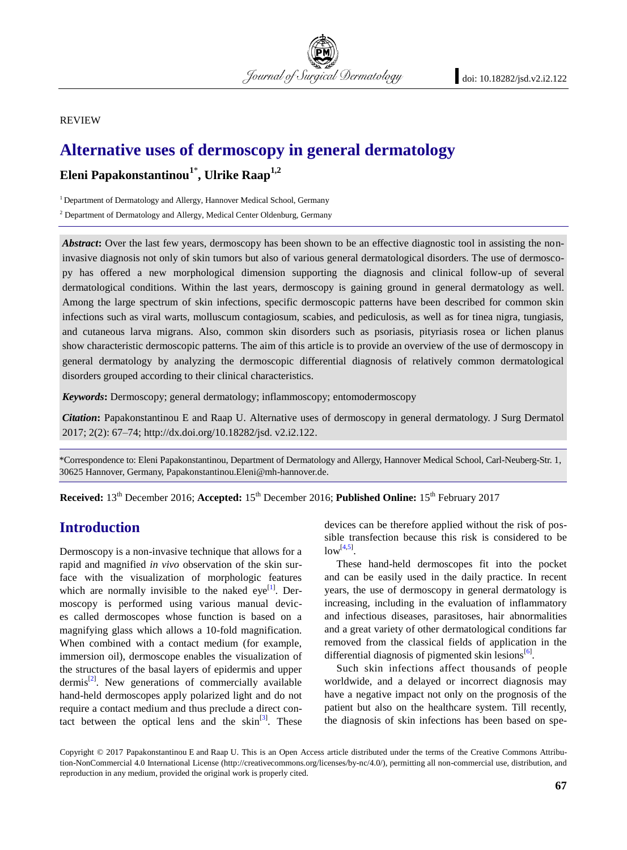#### REVIEW

# **Alternative uses of dermoscopy in general dermatology**

# **Eleni Papakonstantinou<sup>1</sup>**\* **, Ulrike Raap1,2**

<sup>1</sup> Department of Dermatology and Allergy, Hannover Medical School, Germany

<sup>2</sup> Department of Dermatology and Allergy, Medical Center Oldenburg, Germany

Abstract: Over the last few years, dermoscopy has been shown to be an effective diagnostic tool in assisting the noninvasive diagnosis not only of skin tumors but also of various general dermatological disorders. The use of dermoscopy has offered a new morphological dimension supporting the diagnosis and clinical follow-up of several dermatological conditions. Within the last years, dermoscopy is gaining ground in general dermatology as well. Among the large spectrum of skin infections, specific dermoscopic patterns have been described for common skin infections such as viral warts, molluscum contagiosum, scabies, and pediculosis, as well as for tinea nigra, tungiasis, and cutaneous larva migrans. Also, common skin disorders such as psoriasis, pityriasis rosea or lichen planus show characteristic dermoscopic patterns. The aim of this article is to provide an overview of the use of dermoscopy in general dermatology by analyzing the dermoscopic differential diagnosis of relatively common dermatological disorders grouped according to their clinical characteristics.

Journal of Surgical Dermatology

*Keywords***:** Dermoscopy; general dermatology; inflammoscopy; entomodermoscopy

*Citation***:** Papakonstantinou E and Raap U. Alternative uses of dermoscopy in general dermatology. J Surg Dermatol 2017; 2(2): 67–74; http://dx.doi.org/10.18282/jsd. v2.i2.122.

\*Correspondence to: Eleni Papakonstantinou, Department of Dermatology and Allergy, Hannover Medical School, Carl-Neuberg-Str. 1, 30625 Hannover, Germany, Papakonstantinou.Eleni@mh-hannover.de.

**Received:** 13<sup>th</sup> December 2016; **Accepted:** 15<sup>th</sup> December 2016; **Published Online:** 15<sup>th</sup> February 2017

# **Introduction**

Dermoscopy is a non-invasive technique that allows for a rapid and magnified *in vivo* observation of the skin surface with the visualization of morphologic features which are normally invisible to the naked eye<sup>[\[1\]](#page-5-0)</sup>. Dermoscopy is performed using various manual devices called dermoscopes whose function is based on a magnifying glass which allows a 10-fold magnification. When combined with a contact medium (for example, immersion oil), dermoscope enables the visualization of the structures of the basal layers of epidermis and upper dermis<sup>[\[2\]](#page-5-1)</sup>. New generations of commercially available hand-held dermoscopes apply polarized light and do not require a contact medium and thus preclude a direct contact between the optical lens and the  $\sin^{[3]}$  $\sin^{[3]}$  $\sin^{[3]}$ . These devices can be therefore applied without the risk of possible transfection because this risk is considered to be  $low^{[4,5]}$  $low^{[4,5]}$  $low^{[4,5]}$  $low^{[4,5]}$ .

These hand-held dermoscopes fit into the pocket and can be easily used in the daily practice. In recent years, the use of dermoscopy in general dermatology is increasing, including in the evaluation of inflammatory and infectious diseases, parasitoses, hair abnormalities and a great variety of other dermatological conditions far removed from the classical fields of application in the differential diagnosis of pigmented skin lesions<sup>[\[6\]](#page-5-5)</sup>.

Such skin infections affect thousands of people worldwide, and a delayed or incorrect diagnosis may have a negative impact not only on the prognosis of the patient but also on the healthcare system. Till recently, the diagnosis of skin infections has been based on spe-

Copyright © 2017 Papakonstantinou E and Raap U. This is an Open Access article distributed under the terms of the Creative Commons Attribution-NonCommercial 4.0 International License (http://creativecommons.org/licenses/by-nc/4.0/), permitting all non-commercial use, distribution, and reproduction in any medium, provided the original work is properly cited.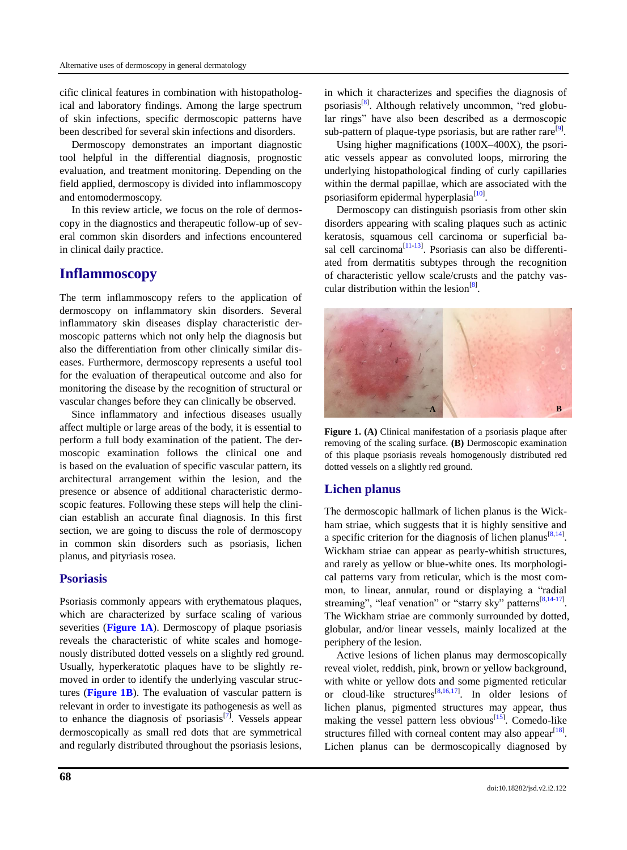cific clinical features in combination with histopathological and laboratory findings. Among the large spectrum of skin infections, specific dermoscopic patterns have been described for several skin infections and disorders.

Dermoscopy demonstrates an important diagnostic tool helpful in the differential diagnosis, prognostic evaluation, and treatment monitoring. Depending on the field applied, dermoscopy is divided into inflammoscopy and entomodermoscopy.

In this review article, we focus on the role of dermoscopy in the diagnostics and therapeutic follow-up of several common skin disorders and infections encountered in clinical daily practice.

# **Inflammoscopy**

The term inflammoscopy refers to the application of dermoscopy on inflammatory skin disorders. Several inflammatory skin diseases display characteristic dermoscopic patterns which not only help the diagnosis but also the differentiation from other clinically similar diseases. Furthermore, dermoscopy represents a useful tool for the evaluation of therapeutical outcome and also for monitoring the disease by the recognition of structural or vascular changes before they can clinically be observed.

Since inflammatory and infectious diseases usually affect multiple or large areas of the body, it is essential to perform a full body examination of the patient. The dermoscopic examination follows the clinical one and is based on the evaluation of specific vascular pattern, its architectural arrangement within the lesion, and the presence or absence of additional characteristic dermoscopic features. Following these steps will help the clinician establish an accurate final diagnosis. In this first section, we are going to discuss the role of dermoscopy in common skin disorders such as psoriasis, lichen planus, and pityriasis rosea.

#### **Psoriasis**

Psoriasis commonly appears with erythematous plaques, which are characterized by surface scaling of various severities (**[Figure 1A](#page-1-0)**). Dermoscopy of plaque psoriasis reveals the characteristic of white scales and homogenously distributed dotted vessels on a slightly red ground. Usually, hyperkeratotic plaques have to be slightly removed in order to identify the underlying vascular structures (**[Figure 1B](#page-1-0)**). The evaluation of vascular pattern is relevant in order to investigate its pathogenesis as well as to enhance the diagnosis of psoriasis<sup>[\[7\]](#page-5-6)</sup>. Vessels appear dermoscopically as small red dots that are symmetrical and regularly distributed throughout the psoriasis lesions,

in which it characterizes and specifies the diagnosis of psoriasis<sup>[\[8\]](#page-5-7)</sup>. Although relatively uncommon, "red globular rings" have also been described as a dermoscopic sub-pattern of plaque-type psoriasis, but are rather rare<sup>[\[9\]](#page-5-8)</sup>.

Using higher magnifications (100X–400X), the psoriatic vessels appear as convoluted loops, mirroring the underlying histopathological finding of curly capillaries within the dermal papillae, which are associated with the psoriasiform epidermal hyperplasia<sup>[\[10\]](#page-6-0)</sup>.

Dermoscopy can distinguish psoriasis from other skin disorders appearing with scaling plaques such as actinic keratosis, squamous cell carcinoma or superficial basal cell carcinoma $^{[11-13]}$  $^{[11-13]}$  $^{[11-13]}$  $^{[11-13]}$ . Psoriasis can also be differentiated from dermatitis subtypes through the recognition of characteristic yellow scale/crusts and the patchy vascular distribution within the lesion $^{[8]}$  $^{[8]}$  $^{[8]}$ .

<span id="page-1-0"></span>

**Figure 1. (A)** Clinical manifestation of a psoriasis plaque after removing of the scaling surface. **(B)** Dermoscopic examination of this plaque psoriasis reveals homogenously distributed red dotted vessels on a slightly red ground.

### **Lichen planus**

The dermoscopic hallmark of lichen planus is the Wickham striae, which suggests that it is highly sensitive and a specific criterion for the diagnosis of lichen planus<sup>[\[8,](#page-5-7)[14\]](#page-6-3)</sup>. Wickham striae can appear as pearly-whitish structures, and rarely as yellow or blue-white ones. Its morphological patterns vary from reticular, which is the most common, to linear, annular, round or displaying a "radial streaming", "leaf venation" or "starry sky" patterns<sup>[\[8,](#page-5-7)[14-](#page-6-3)[17\]](#page-6-4)</sup>. The Wickham striae are commonly surrounded by dotted, globular, and/or linear vessels, mainly localized at the periphery of the lesion.

Active lesions of lichen planus may dermoscopically reveal violet, reddish, pink, brown or yellow background, with white or yellow dots and some pigmented reticular or cloud-like structures<sup>[\[8,](#page-5-7)[16,](#page-6-5)[17\]](#page-6-4)</sup>. In older lesions of lichen planus, pigmented structures may appear, thus making the vessel pattern less obvious $\begin{bmatrix} 15 \end{bmatrix}$ . Comedo-like structures filled with corneal content may also appear $^{[18]}$  $^{[18]}$  $^{[18]}$ . Lichen planus can be dermoscopically diagnosed by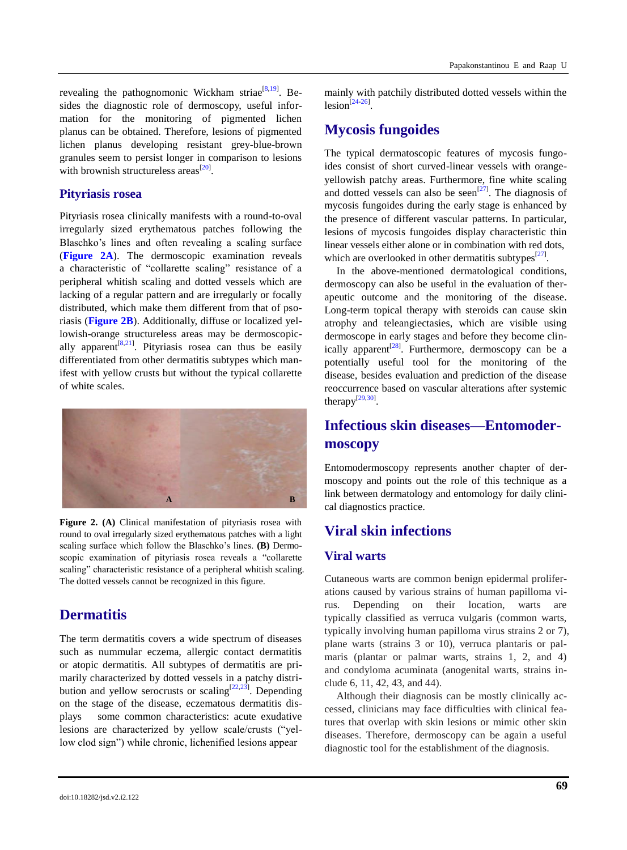revealing the pathognomonic Wickham striae<sup>[\[8,](#page-5-7)[19\]](#page-6-8)</sup>. Besides the diagnostic role of dermoscopy, useful information for the monitoring of pigmented lichen planus can be obtained. Therefore, lesions of pigmented lichen planus developing resistant grey-blue-brown granules seem to persist longer in comparison to lesions with brownish structureless areas<sup>[\[20\]](#page-6-9)</sup>.

#### **Pityriasis rosea**

Pityriasis rosea clinically manifests with a round-to-oval irregularly sized erythematous patches following the Blaschko's lines and often revealing a scaling surface (**[Figure 2A](#page-2-0)**). The dermoscopic examination reveals a characteristic of "collarette scaling" resistance of a peripheral whitish scaling and dotted vessels which are lacking of a regular pattern and are irregularly or focally distributed, which make them different from that of psoriasis (**[Figure 2B](#page-2-0)**). Additionally, diffuse or localized yellowish-orange structureless areas may be dermoscopic-ally apparent<sup>[\[8,](#page-5-7)[21\]](#page-6-10)</sup>. Pityriasis rosea can thus be easily differentiated from other dermatitis subtypes which manifest with yellow crusts but without the typical collarette of white scales.

<span id="page-2-0"></span>

**Figure 2. (A)** Clinical manifestation of pityriasis rosea with round to oval irregularly sized erythematous patches with a light scaling surface which follow the Blaschko's lines. **(B)** Dermoscopic examination of pityriasis rosea reveals a "collarette scaling" characteristic resistance of a peripheral whitish scaling. The dotted vessels cannot be recognized in this figure.

## **Dermatitis**

The term dermatitis covers a wide spectrum of diseases such as nummular eczema, allergic contact dermatitis or atopic dermatitis. All subtypes of dermatitis are primarily characterized by dotted vessels in a patchy distri-bution and yellow serocrusts or scaling<sup>[\[22,](#page-6-11)[23\]](#page-6-12)</sup>. Depending on the stage of the disease, eczematous dermatitis displays some common characteristics: acute exudative lesions are characterized by yellow scale/crusts ("yellow clod sign") while chronic, lichenified lesions appear

mainly with patchily distributed dotted vessels within the  $lesion^{[24-26]}$  $lesion^{[24-26]}$  $lesion^{[24-26]}$  $lesion^{[24-26]}$ .

# **Mycosis fungoides**

The typical dermatoscopic features of mycosis fungoides consist of short curved-linear vessels with orangeyellowish patchy areas. Furthermore, fine white scaling and dotted vessels can also be seen<sup>[\[27\]](#page-6-15)</sup>. The diagnosis of mycosis fungoides during the early stage is enhanced by the presence of different vascular patterns. In particular, lesions of mycosis fungoides display characteristic thin linear vessels either alone or in combination with red dots, which are overlooked in other dermatitis subtypes<sup>[\[27\]](#page-6-15)</sup>.

In the above-mentioned dermatological conditions, dermoscopy can also be useful in the evaluation of therapeutic outcome and the monitoring of the disease. Long-term topical therapy with steroids can cause skin atrophy and teleangiectasies, which are visible using dermoscope in early stages and before they become clin-ically apparent<sup>[\[28\]](#page-6-16)</sup>. Furthermore, dermoscopy can be a potentially useful tool for the monitoring of the disease, besides evaluation and prediction of the disease reoccurrence based on vascular alterations after systemic therapy $^{[29,30]}$  $^{[29,30]}$  $^{[29,30]}$  $^{[29,30]}$ .

# **Infectious skin diseases—Entomodermoscopy**

Entomodermoscopy represents another chapter of dermoscopy and points out the role of this technique as a link between dermatology and entomology for daily clinical diagnostics practice.

# **Viral skin infections**

## **Viral warts**

Cutaneous warts are common benign epidermal proliferations caused by various strains of human papilloma virus. Depending on their location, warts are typically classified as verruca vulgaris (common warts, typically involving human papilloma virus strains 2 or 7), plane warts (strains 3 or 10), verruca plantaris or palmaris (plantar or palmar warts, strains 1, 2, and 4) and condyloma acuminata (anogenital warts, strains include 6, 11, 42, 43, and 44).

Although their diagnosis can be mostly clinically accessed, clinicians may face difficulties with clinical features that overlap with skin lesions or mimic other skin diseases. Therefore, dermoscopy can be again a useful diagnostic tool for the establishment of the diagnosis.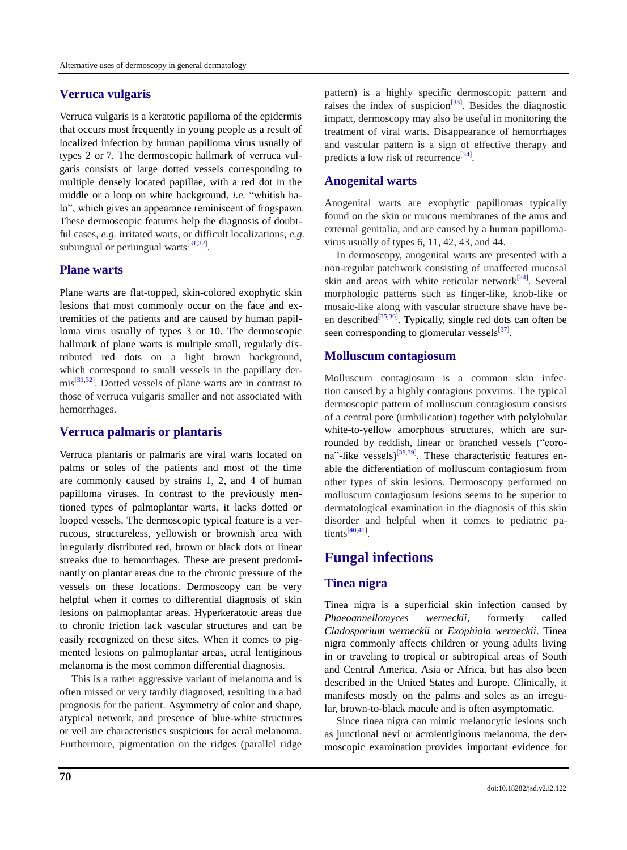## **Verruca vulgaris**

Verruca vulgaris is a keratotic papilloma of the epidermis that occurs most frequently in young people as a result of localized infection by human papilloma virus usually of types 2 or 7. The dermoscopic hallmark of verruca vulgaris consists of large dotted vessels corresponding to multiple densely located papillae, with a red dot in the middle or a loop on white background, *i.e.* "whitish halo", which gives an appearance reminiscent of frogspawn. These dermoscopic features help the diagnosis of doubtful cases, *e.g.* irritated warts, or difficult localizations, *e.g.* subungual or periungual warts $^{[31,32]}$  $^{[31,32]}$  $^{[31,32]}$  $^{[31,32]}$ .

## **Plane warts**

Plane warts are flat-topped, skin-colored exophytic skin lesions that most commonly occur on the face and extremities of the patients and are caused by human papilloma virus usually of types 3 or 10. The dermoscopic hallmark of plane warts is multiple small, regularly distributed red dots on a light brown background, which correspond to small vessels in the papillary der- $\text{mis}^{[31,32]}$  $\text{mis}^{[31,32]}$  $\text{mis}^{[31,32]}$  $\text{mis}^{[31,32]}$ . Dotted vessels of plane warts are in contrast to those of verruca vulgaris smaller and not associated with hemorrhages.

### **Verruca palmaris or plantaris**

Verruca plantaris or palmaris are viral warts located on palms or soles of the patients and most of the time are commonly caused by strains 1, 2, and 4 of human papilloma viruses. In contrast to the previously mentioned types of palmoplantar warts, it lacks dotted or looped vessels. The dermoscopic typical feature is a verrucous, structureless, yellowish or brownish area with irregularly distributed red, brown or black dots or linear streaks due to hemorrhages. These are present predominantly on plantar areas due to the chronic pressure of the vessels on these locations. Dermoscopy can be very helpful when it comes to differential diagnosis of skin lesions on palmoplantar areas. Hyperkeratotic areas due to chronic friction lack vascular structures and can be easily recognized on these sites. When it comes to pigmented lesions on palmoplantar areas, acral lentiginous melanoma is the most common differential diagnosis.

This is a rather aggressive variant of melanoma and is often missed or very tardily diagnosed, resulting in a bad prognosis for the patient. Asymmetry of color and shape, atypical network, and presence of blue-white structures or veil are characteristics suspicious for acral melanoma. Furthermore, pigmentation on the ridges (parallel ridge pattern) is a highly specific dermoscopic pattern and raises the index of suspicion<sup>[\[33\]](#page-6-21)</sup>. Besides the diagnostic impact, dermoscopy may also be useful in monitoring the treatment of viral warts. Disappearance of hemorrhages and vascular pattern is a sign of effective therapy and predicts a low risk of recurrence<sup>[\[34\]](#page-6-22)</sup>.

#### **Anogenital warts**

Anogenital warts are exophytic papillomas typically found on the skin or mucous membranes of the anus and external genitalia, and are caused by a human papillomavirus usually of types 6, 11, 42, 43, and 44.

In dermoscopy, anogenital warts are presented with a non-regular patchwork consisting of unaffected mucosal skin and areas with white reticular network<sup>[\[34\]](#page-6-22)</sup>. Several morphologic patterns such as finger-like, knob-like or mosaic-like along with vascular structure shave have be-en described<sup>[\[35,](#page-6-23)[36\]](#page-6-24)</sup>. Typically, single red dots can often be seen corresponding to glomerular vessels $^{[37]}$  $^{[37]}$  $^{[37]}$ .

## **Molluscum contagiosum**

Molluscum contagiosum is a common skin infection caused by a highly contagious poxvirus. The typical dermoscopic pattern of molluscum contagiosum consists of a central pore (umbilication) together with polylobular white-to-yellow amorphous structures, which are surrounded by reddish, linear or branched vessels ("coro-na"-like vessels)<sup>[\[38,](#page-7-1)[39\]](#page-7-2)</sup>. These characteristic features enable the differentiation of molluscum contagiosum from other types of skin lesions. Dermoscopy performed on molluscum contagiosum lesions seems to be superior to dermatological examination in the diagnosis of this skin disorder and helpful when it comes to pediatric patients $^{[40,41]}$  $^{[40,41]}$  $^{[40,41]}$  $^{[40,41]}$ .

# **Fungal infections**

### **Tinea nigra**

Tinea nigra is a superficial skin infection caused by *Phaeoannellomyces werneckii*, formerly called *Cladosporium werneckii* or *Exophiala werneckii*. Tinea nigra commonly affects children or young adults living in or traveling to tropical or subtropical areas of South and Central America, Asia or Africa, but has also been described in the United States and Europe. Clinically, it manifests mostly on the palms and soles as an irregular, brown-to-black macule and is often asymptomatic.

Since tinea nigra can mimic melanocytic lesions such as junctional nevi or acrolentiginous melanoma, the dermoscopic examination provides important evidence for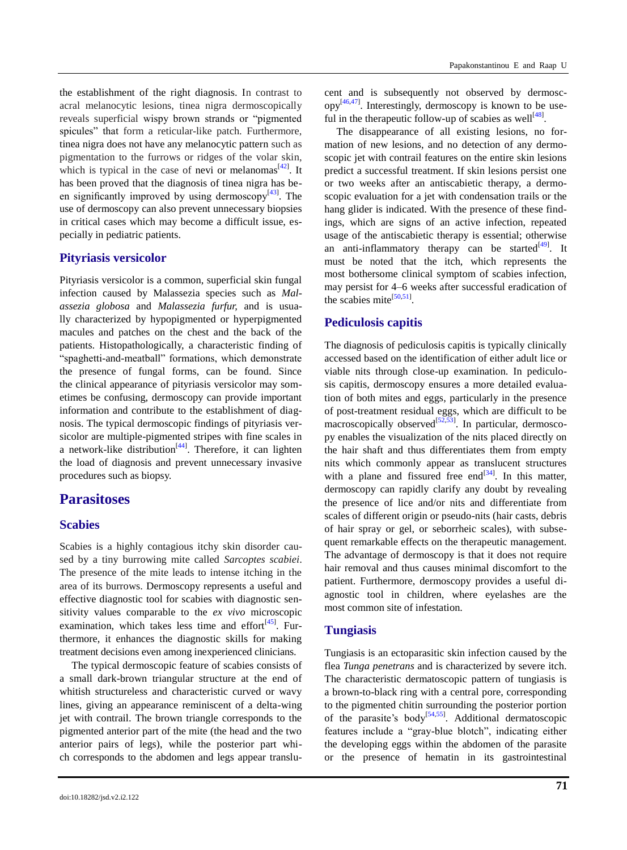the establishment of the right diagnosis. In contrast to acral melanocytic lesions, tinea nigra dermoscopically reveals superficial wispy brown strands or "pigmented" spicules" that form a reticular-like patch. Furthermore, tinea nigra does not have any melanocytic pattern such as pigmentation to the furrows or ridges of the volar skin, which is typical in the case of nevi or melanomas<sup>[\[42\]](#page-7-5)</sup>. It has been proved that the diagnosis of tinea nigra has been significantly improved by using dermoscopy $^{[43]}$  $^{[43]}$  $^{[43]}$ . The use of dermoscopy can also prevent unnecessary biopsies in critical cases which may become a difficult issue, especially in pediatric patients.

#### **Pityriasis versicolor**

Pityriasis versicolor is a common, superficial skin fungal infection caused by Malassezia species such as *Malassezia globosa* and *Malassezia furfur,* and is usually characterized by hypopigmented or hyperpigmented macules and patches on the chest and the back of the patients. Histopathologically, a characteristic finding of ―spaghetti-and-meatball‖ formations, which demonstrate the presence of fungal forms, can be found. Since the clinical appearance of pityriasis versicolor may sometimes be confusing, dermoscopy can provide important information and contribute to the establishment of diagnosis. The typical dermoscopic findings of pityriasis versicolor are multiple-pigmented stripes with fine scales in a network-like distribution $[44]$ . Therefore, it can lighten the load of diagnosis and prevent unnecessary invasive procedures such as biopsy.

## **Parasitoses**

#### **Scabies**

Scabies is a highly contagious itchy skin disorder caused by a tiny burrowing mite called *Sarcoptes scabiei*. The presence of the mite leads to intense itching in the area of its burrows. Dermoscopy represents a useful and effective diagnostic tool for scabies with diagnostic sensitivity values comparable to the *ex vivo* microscopic examination, which takes less time and effort<sup>[\[45\]](#page-7-8)</sup>. Furthermore, it enhances the diagnostic skills for making treatment decisions even among inexperienced clinicians.

The typical dermoscopic feature of scabies consists of a small dark-brown triangular structure at the end of whitish structureless and characteristic curved or wavy lines, giving an appearance reminiscent of a delta-wing jet with contrail. The brown triangle corresponds to the pigmented anterior part of the mite (the head and the two anterior pairs of legs), while the posterior part which corresponds to the abdomen and legs appear translucent and is subsequently not observed by dermosc- $opp^{[46,47]}$  $opp^{[46,47]}$  $opp^{[46,47]}$  $opp^{[46,47]}$ . Interestingly, dermoscopy is known to be use-ful in the therapeutic follow-up of scabies as well<sup>[\[48\]](#page-7-11)</sup>.

The disappearance of all existing lesions, no formation of new lesions, and no detection of any dermoscopic jet with contrail features on the entire skin lesions predict a successful treatment. If skin lesions persist one or two weeks after an antiscabietic therapy, a dermoscopic evaluation for a jet with condensation trails or the hang glider is indicated. With the presence of these findings, which are signs of an active infection, repeated usage of the antiscabietic therapy is essential; otherwise an anti-inflammatory therapy can be started  $[49]$ . It must be noted that the itch, which represents the most bothersome clinical symptom of scabies infection, may persist for 4–6 weeks after successful eradication of the scabies mite $^{[50,51]}$  $^{[50,51]}$  $^{[50,51]}$  $^{[50,51]}$ .

#### **Pediculosis capitis**

The diagnosis of pediculosis capitis is typically clinically accessed based on the identification of either adult lice or viable nits through close-up examination. In pediculosis capitis, dermoscopy ensures a more detailed evaluation of both mites and eggs, particularly in the presence of post-treatment residual eggs, which are difficult to be macroscopically observed $^{[52,53]}$  $^{[52,53]}$  $^{[52,53]}$  $^{[52,53]}$ . In particular, dermoscopy enables the visualization of the nits placed directly on the hair shaft and thus differentiates them from empty nits which commonly appear as translucent structures with a plane and fissured free end $[34]$ . In this matter, dermoscopy can rapidly clarify any doubt by revealing the presence of lice and/or nits and differentiate from scales of different origin or pseudo-nits (hair casts, debris of hair spray or gel, or seborrheic scales), with subsequent remarkable effects on the therapeutic management. The advantage of dermoscopy is that it does not require hair removal and thus causes minimal discomfort to the patient. Furthermore, dermoscopy provides a useful diagnostic tool in children, where eyelashes are the most common site of infestation.

#### **Tungiasis**

Tungiasis is an ectoparasitic skin infection caused by the flea *Tunga penetrans* and is characterized by severe itch. The characteristic dermatoscopic pattern of tungiasis is a brown-to-black ring with a central pore, corresponding to the pigmented chitin surrounding the posterior portion of the parasite's body<sup>[\[54,](#page-7-17)[55\]](#page-7-18)</sup>. Additional dermatoscopic features include a "gray-blue blotch", indicating either the developing eggs within the abdomen of the parasite or the presence of hematin in its gastrointestinal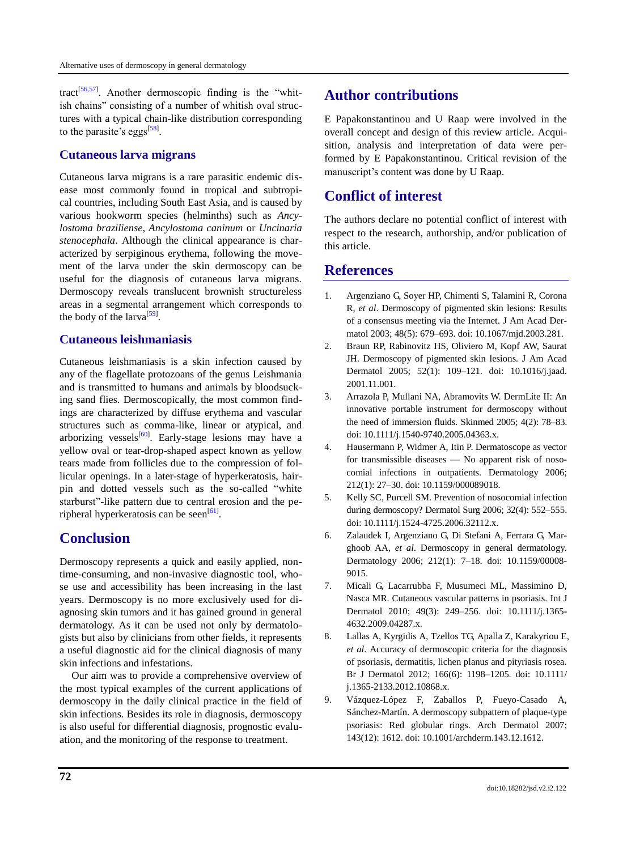tract<sup>[\[56,](#page-7-19)[57\]](#page-7-20)</sup>. Another dermoscopic finding is the "whitish chains" consisting of a number of whitish oval structures with a typical chain-like distribution corresponding to the parasite's eggs<sup>[\[58\]](#page-7-21)</sup>.

## **Cutaneous larva migrans**

Cutaneous larva migrans is a rare parasitic endemic disease most commonly found in tropical and subtropical countries, including South East Asia, and is caused by various hookworm species (helminths) such as *Ancylostoma braziliense*, *Ancylostoma caninum* or *Uncinaria stenocephala*. Although the clinical appearance is characterized by serpiginous erythema, following the movement of the larva under the skin dermoscopy can be useful for the diagnosis of cutaneous larva migrans. Dermoscopy reveals translucent brownish structureless areas in a segmental arrangement which corresponds to the body of the larva<sup>[\[59\]](#page-7-22)</sup>.

## **Cutaneous leishmaniasis**

Cutaneous leishmaniasis is a skin infection caused by any of the flagellate protozoans of the genus Leishmania and is transmitted to humans and animals by bloodsucking sand flies. Dermoscopically, the most common findings are characterized by diffuse erythema and vascular structures such as comma-like, linear or atypical, and arborizing vessels<sup>[\[60\]](#page-7-23)</sup>. Early-stage lesions may have a yellow oval or tear-drop-shaped aspect known as yellow tears made from follicles due to the compression of follicular openings. In a later-stage of hyperkeratosis, hairpin and dotted vessels such as the so-called "white starburst"-like pattern due to central erosion and the pe-ripheral hyperkeratosis can be seen<sup>[\[61\]](#page-7-24)</sup>.

# **Conclusion**

Dermoscopy represents a quick and easily applied, nontime-consuming, and non-invasive diagnostic tool, whose use and accessibility has been increasing in the last years. Dermoscopy is no more exclusively used for diagnosing skin tumors and it has gained ground in general dermatology. As it can be used not only by dermatologists but also by clinicians from other fields, it represents a useful diagnostic aid for the clinical diagnosis of many skin infections and infestations.

Our aim was to provide a comprehensive overview of the most typical examples of the current applications of dermoscopy in the daily clinical practice in the field of skin infections. Besides its role in diagnosis, dermoscopy is also useful for differential diagnosis, prognostic evaluation, and the monitoring of the response to treatment.

# **Author contributions**

E Papakonstantinou and U Raap were involved in the overall concept and design of this review article. Acquisition, analysis and interpretation of data were performed by E Papakonstantinou. Critical revision of the manuscript's content was done by U Raap.

# **Conflict of interest**

The authors declare no potential conflict of interest with respect to the research, authorship, and/or publication of this article.

# **References**

- <span id="page-5-0"></span>1. Argenziano G, Soyer HP, Chimenti S, Talamini R, Corona R, *et al*. Dermoscopy of pigmented skin lesions: Results of a consensus meeting via the Internet. J Am Acad Dermatol 2003; 48(5): 679–693. doi: 10.1067/mjd.2003.281.
- <span id="page-5-1"></span>2. Braun RP, Rabinovitz HS, Oliviero M, Kopf AW, Saurat JH. Dermoscopy of pigmented skin lesions. J Am Acad Dermatol 2005; 52(1): 109–121. doi: 10.1016/j.jaad. 2001.11.001.
- <span id="page-5-2"></span>3. Arrazola P, Mullani NA, Abramovits W. DermLite II: An innovative portable instrument for dermoscopy without the need of immersion fluids. Skinmed 2005; 4(2): 78–83. doi: 10.1111/j.1540-9740.2005.04363.x.
- <span id="page-5-3"></span>4. Hausermann P, Widmer A, Itin P. Dermatoscope as vector for transmissible diseases — No apparent risk of nosocomial infections in outpatients. Dermatology 2006; 212(1): 27–30. doi: 10.1159/000089018.
- <span id="page-5-4"></span>5. Kelly SC, Purcell SM. Prevention of nosocomial infection during dermoscopy? Dermatol Surg 2006; 32(4): 552–555. doi: 10.1111/j.1524-4725.2006.32112.x.
- <span id="page-5-5"></span>6. Zalaudek I, Argenziano G, Di Stefani A, Ferrara G, Marghoob AA, *et al*. Dermoscopy in general dermatology. Dermatology 2006; 212(1): 7–18. doi: 10.1159/00008- 9015.
- <span id="page-5-6"></span>7. Micali G, Lacarrubba F, Musumeci ML, Massimino D, Nasca MR. Cutaneous vascular patterns in psoriasis. Int J Dermatol 2010; 49(3): 249–256. doi: 10.1111/j.1365- 4632.2009.04287.x.
- <span id="page-5-7"></span>8. Lallas A, Kyrgidis A, Tzellos TG, Apalla Z, Karakyriou E, *et al*. Accuracy of dermoscopic criteria for the diagnosis of psoriasis, dermatitis, lichen planus and pityriasis rosea. Br J Dermatol 2012; 166(6): 1198–1205. doi: 10.1111/ j.1365-2133.2012.10868.x.
- <span id="page-5-8"></span>9. Vázquez-López F, Zaballos P, Fueyo-Casado A, Sánchez-Martín. A dermoscopy subpattern of plaque-type psoriasis: Red globular rings. Arch Dermatol 2007; 143(12): 1612. doi: 10.1001/archderm.143.12.1612.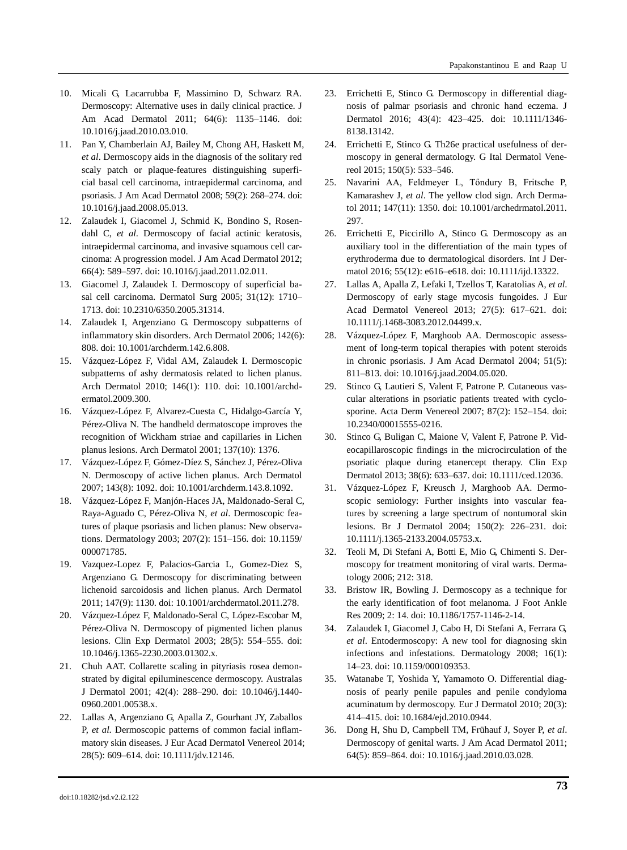- <span id="page-6-0"></span>10. Micali G, Lacarrubba F, Massimino D, Schwarz RA. Dermoscopy: Alternative uses in daily clinical practice. J Am Acad Dermatol 2011; 64(6): 1135–1146. doi: 10.1016/j.jaad.2010.03.010.
- <span id="page-6-1"></span>11. Pan Y, Chamberlain AJ, Bailey M, Chong AH, Haskett M, *et al*. Dermoscopy aids in the diagnosis of the solitary red scaly patch or plaque-features distinguishing superficial basal cell carcinoma, intraepidermal carcinoma, and psoriasis. J Am Acad Dermatol 2008; 59(2): 268–274. doi: 10.1016/j.jaad.2008.05.013.
- 12. Zalaudek I, Giacomel J, Schmid K, Bondino S, Rosendahl C, *et al*. Dermoscopy of facial actinic keratosis, intraepidermal carcinoma, and invasive squamous cell carcinoma: A progression model. J Am Acad Dermatol 2012; 66(4): 589–597. doi: 10.1016/j.jaad.2011.02.011.
- <span id="page-6-2"></span>13. Giacomel J, Zalaudek I. Dermoscopy of superficial basal cell carcinoma. Dermatol Surg 2005; 31(12): 1710– 1713. doi: 10.2310/6350.2005.31314.
- <span id="page-6-3"></span>14. Zalaudek I, Argenziano G. Dermoscopy subpatterns of inflammatory skin disorders. Arch Dermatol 2006; 142(6): 808. doi: 10.1001/archderm.142.6.808.
- <span id="page-6-6"></span>15. Vázquez-López F, Vidal AM, Zalaudek I. Dermoscopic subpatterns of ashy dermatosis related to lichen planus. Arch Dermatol 2010; 146(1): 110. doi: 10.1001/archdermatol.2009.300.
- <span id="page-6-5"></span>16. Vázquez-López F, Alvarez-Cuesta C, Hidalgo-García Y, Pérez-Oliva N. The handheld dermatoscope improves the recognition of Wickham striae and capillaries in Lichen planus lesions. Arch Dermatol 2001; 137(10): 1376.
- <span id="page-6-4"></span>17. Vázquez-López F, Gómez-Díez S, Sánchez J, Pérez-Oliva N. Dermoscopy of active lichen planus. Arch Dermatol 2007; 143(8): 1092. doi: 10.1001/archderm.143.8.1092.
- <span id="page-6-7"></span>18. Vázquez-López F, Manjón-Haces JA, Maldonado-Seral C, Raya-Aguado C, Pérez-Oliva N, *et al*. Dermoscopic features of plaque psoriasis and lichen planus: New observations. Dermatology 2003; 207(2): 151–156. doi: 10.1159/ 000071785.
- <span id="page-6-8"></span>19. Vazquez-Lopez F, Palacios-Garcia L, Gomez-Diez S, Argenziano G. Dermoscopy for discriminating between lichenoid sarcoidosis and lichen planus. Arch Dermatol 2011; 147(9): 1130. doi: 10.1001/archdermatol.2011.278.
- <span id="page-6-9"></span>20. Vázquez-López F, Maldonado-Seral C, López-Escobar M, Pérez-Oliva N. Dermoscopy of pigmented lichen planus lesions. Clin Exp Dermatol 2003; 28(5): 554–555. doi: 10.1046/j.1365-2230.2003.01302.x.
- <span id="page-6-10"></span>21. Chuh AAT. Collarette scaling in pityriasis rosea demonstrated by digital epiluminescence dermoscopy. Australas J Dermatol 2001; 42(4): 288–290. doi: 10.1046/j.1440- 0960.2001.00538.x.
- <span id="page-6-11"></span>22. Lallas A, Argenziano G, Apalla Z, Gourhant JY, Zaballos P, *et al*. Dermoscopic patterns of common facial inflammatory skin diseases. J Eur Acad Dermatol Venereol 2014; 28(5): 609–614. doi: 10.1111/jdv.12146.
- <span id="page-6-12"></span>23. Errichetti E, Stinco G. Dermoscopy in differential diagnosis of palmar psoriasis and chronic hand eczema. J Dermatol 2016; 43(4): 423–425. doi: 10.1111/1346- 8138.13142.
- <span id="page-6-13"></span>24. Errichetti E, Stinco G. Th26e practical usefulness of dermoscopy in general dermatology. G Ital Dermatol Venereol 2015; 150(5): 533–546.
- 25. Navarini AA, Feldmeyer L, Tőndury B, Fritsche P, Kamarashev J, *et al*. The yellow clod sign. Arch Dermatol 2011; 147(11): 1350. doi: 10.1001/archedrmatol.2011. 297.
- <span id="page-6-14"></span>26. Errichetti E, Piccirillo A, Stinco G. Dermoscopy as an auxiliary tool in the differentiation of the main types of erythroderma due to dermatological disorders. Int J Dermatol 2016; 55(12): e616–e618. doi: 10.1111/ijd.13322.
- <span id="page-6-15"></span>27. Lallas A, Apalla Z, Lefaki I, Tzellos T, Karatolias A, *et al*. Dermoscopy of early stage mycosis fungoides. J Eur Acad Dermatol Venereol 2013; 27(5): 617–621. doi: 10.1111/j.1468-3083.2012.04499.x.
- <span id="page-6-16"></span>28. Vázquez-López F, Marghoob AA. Dermoscopic assessment of long-term topical therapies with potent steroids in chronic psoriasis. J Am Acad Dermatol 2004; 51(5): 811–813. doi: 10.1016/j.jaad.2004.05.020.
- <span id="page-6-17"></span>29. Stinco G, Lautieri S, Valent F, Patrone P. Cutaneous vascular alterations in psoriatic patients treated with cyclosporine. Acta Derm Venereol 2007; 87(2): 152–154. doi: 10.2340/00015555-0216.
- <span id="page-6-18"></span>30. Stinco G, Buligan C, Maione V, Valent F, Patrone P. Videocapillaroscopic findings in the microcirculation of the psoriatic plaque during etanercept therapy. Clin Exp Dermatol 2013; 38(6): 633–637. doi: 10.1111/ced.12036.
- <span id="page-6-19"></span>31. Vázquez-López F, Kreusch J, Marghoob AA. Dermoscopic semiology: Further insights into vascular features by screening a large spectrum of nontumoral skin lesions. Br J Dermatol 2004; 150(2): 226–231. doi: 10.1111/j.1365-2133.2004.05753.x.
- <span id="page-6-20"></span>32. Teoli M, Di Stefani A, Botti E, Mio G, Chimenti S. Dermoscopy for treatment monitoring of viral warts. Dermatology 2006; 212: 318.
- <span id="page-6-21"></span>33. Bristow IR, Bowling J. Dermoscopy as a technique for the early identification of foot melanoma. J Foot Ankle Res 2009; 2: 14. doi: 10.1186/1757-1146-2-14.
- <span id="page-6-22"></span>34. Zalaudek I, Giacomel J, Cabo H, Di Stefani A, Ferrara G, *et al*. Entodermoscopy: A new tool for diagnosing skin infections and infestations. Dermatology 2008; 16(1): 14–23. doi: 10.1159/000109353.
- <span id="page-6-23"></span>35. Watanabe T, Yoshida Y, Yamamoto O. Differential diagnosis of pearly penile papules and penile condyloma acuminatum by dermoscopy. Eur J Dermatol 2010; 20(3): 414–415. doi: 10.1684/ejd.2010.0944.
- <span id="page-6-24"></span>36. Dong H, Shu D, Campbell TM, Frühauf J, Soyer P, *et al*. Dermoscopy of genital warts. J Am Acad Dermatol 2011; 64(5): 859–864. doi: 10.1016/j.jaad.2010.03.028.